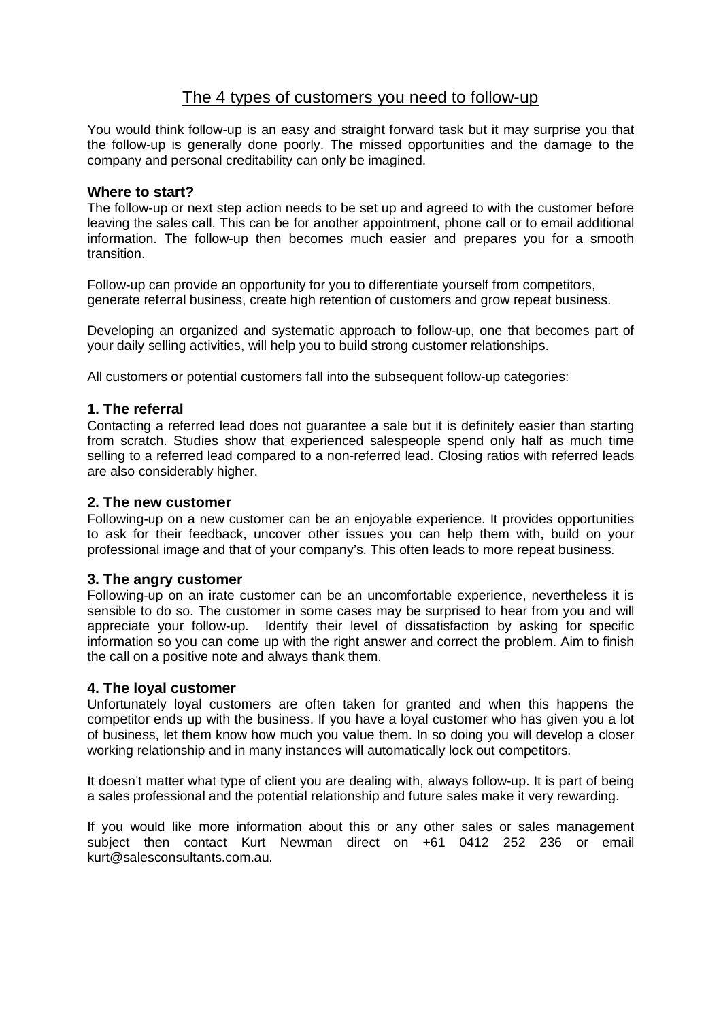# The 4 types of customers you need to follow-up

You would think follow-up is an easy and straight forward task but it may surprise you that the follow-up is generally done poorly. The missed opportunities and the damage to the company and personal creditability can only be imagined.

## **Where to start?**

The follow-up or next step action needs to be set up and agreed to with the customer before leaving the sales call. This can be for another appointment, phone call or to email additional information. The follow-up then becomes much easier and prepares you for a smooth transition.

Follow-up can provide an opportunity for you to differentiate yourself from competitors, generate referral business, create high retention of customers and grow repeat business.

Developing an organized and systematic approach to follow-up, one that becomes part of your daily selling activities, will help you to build strong customer relationships.

All customers or potential customers fall into the subsequent follow-up categories:

## **1. The referral**

Contacting a referred lead does not guarantee a sale but it is definitely easier than starting from scratch. Studies show that experienced salespeople spend only half as much time selling to a referred lead compared to a non-referred lead. Closing ratios with referred leads are also considerably higher.

### **2. The new customer**

Following-up on a new customer can be an enjoyable experience. It provides opportunities to ask for their feedback, uncover other issues you can help them with, build on your professional image and that of your company's. This often leads to more repeat business.

## **3. The angry customer**

Following-up on an irate customer can be an uncomfortable experience, nevertheless it is sensible to do so. The customer in some cases may be surprised to hear from you and will appreciate your follow-up. Identify their level of dissatisfaction by asking for specific information so you can come up with the right answer and correct the problem. Aim to finish the call on a positive note and always thank them.

## **4. The loyal customer**

Unfortunately loyal customers are often taken for granted and when this happens the competitor ends up with the business. If you have a loyal customer who has given you a lot of business, let them know how much you value them. In so doing you will develop a closer working relationship and in many instances will automatically lock out competitors.

It doesn't matter what type of client you are dealing with, always follow-up. It is part of being a sales professional and the potential relationship and future sales make it very rewarding.

If you would like more information about this or any other sales or sales management subject then contact Kurt Newman direct on +61 0412 252 236 or email kurt@salesconsultants.com.au.